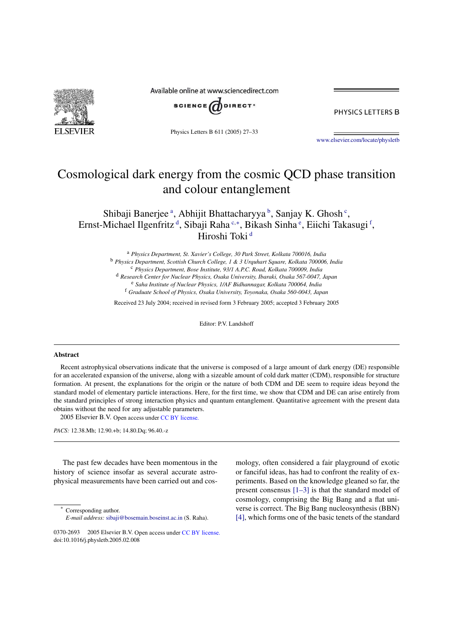

Available online at www.sciencedirect.com



PHYSICS LETTERS B

Physics Letters B 611 (2005) 27–33

www.elsevier.com/locate/physletb

## Cosmological dark energy from the cosmic QCD phase transition and colour entanglement

Shibaji Banerjee<sup>a</sup>, Abhijit Bhattacharyya<sup>b</sup>, Sanjay K. Ghosh<sup>c</sup>, Ernst-Michael Ilgenfritz<sup>d</sup>, Sibaji Raha<sup>c,∗</sup>, Bikash Sinha<sup>e</sup>, Eiichi Takasugi<sup>f</sup>, Hiroshi Toki<sup>d</sup>

<sup>a</sup> *Physics Department, St. Xavier's College, 30 Park Street, Kolkata 700016, India*

<sup>b</sup> *Physics Department, Scottish Church College, 1 & 3 Urquhart Square, Kolkata 700006, India*

<sup>c</sup> *Physics Department, Bose Institute, 93/1 A.P.C. Road, Kolkata 700009, India*

<sup>d</sup> *Research Center for Nuclear Physics, Osaka University, Ibaraki, Osaka 567-0047, Japan*

<sup>e</sup> *Saha Institute of Nuclear Physics, 1/AF Bidhannagar, Kolkata 700064, India*

<sup>f</sup> *Graduate School of Physics, Osaka University, Toyonaka, Osaka 560-0043, Japan*

Received 23 July 2004; received in revised form 3 February 2005; accepted 3 February 2005

Editor: P.V. Landshoff

## **Abstract**

Recent astrophysical observations indicate that the universe is composed of a large amount of dark energy (DE) responsible for an accelerated expansion of the universe, along with a sizeable amount of cold dark matter (CDM), responsible for structure formation. At present, the explanations for the origin or the nature of both CDM and DE seem to require ideas beyond the standard model of elementary particle interactions. Here, for the first time, we show that CDM and DE can arise entirely from the standard principles of strong interaction physics and quantum entanglement. Quantitative agreement with the present data obtains without the need for any adjustable parameters.

 $© 2005 Elsevier B.V. Open access under CC BY license.$ 

*PACS:* 12.38.Mh; 12.90.+b; 14.80.Dq; 96.40.-z

The past few decades have been momentous in the history of science insofar as several accurate astrophysical measurements have been carried out and cos-

Corresponding author. *E-mail address:* sibaji@bosemain.boseinst.ac.in (S. Raha).

mology, often considered a fair playground of exotic or fanciful ideas, has had to confront the reality of experiments. Based on the knowledge gleaned so far, the present consensus [1–3] is that the standard model of cosmology, comprising the Big Bang and a flat universe is correct. The Big Bang nucleosynthesis (BBN) [4], which forms one of the basic tenets of the standard

<sup>0370-2693 © 2005</sup> Elsevier B.V. Open access under CC BY license. doi:10.1016/j.physletb.2005.02.008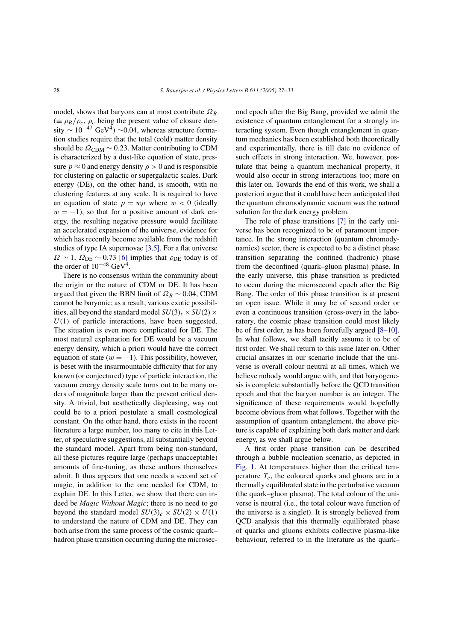model, shows that baryons can at most contribute  $\Omega_B$  $(\equiv \rho_B/\rho_c, \rho_c$  being the present value of closure density  $\sim 10^{-47}$  GeV<sup>4</sup>)  $\sim 0.04$ , whereas structure formation studies require that the total (cold) matter density should be  $\Omega_{CDM} \sim 0.23$ . Matter contributing to CDM is characterized by a dust-like equation of state, pressure  $p \approx 0$  and energy density  $\rho > 0$  and is responsible for clustering on galactic or supergalactic scales. Dark energy (DE), on the other hand, is smooth, with no clustering features at any scale. It is required to have an equation of state  $p = w\rho$  where  $w < 0$  (ideally  $w = -1$ ), so that for a positive amount of dark energy, the resulting negative pressure would facilitate an accelerated expansion of the universe, evidence for which has recently become available from the redshift studies of type IA supernovae [3,5]. For a flat universe  $\Omega \sim 1$ ,  $\Omega_{\rm DE} \sim 0.73$  [6] implies that  $\rho_{\rm DE}$  today is of the order of  $10^{-48}$  GeV<sup>4</sup>.

There is no consensus within the community about the origin or the nature of CDM or DE. It has been argued that given the BBN limit of  $\Omega_B \sim 0.04$ , CDM cannot be baryonic; as a result, various exotic possibilities, all beyond the standard model  $SU(3)_c \times SU(2) \times$  $U(1)$  of particle interactions, have been suggested. The situation is even more complicated for DE. The most natural explanation for DE would be a vacuum energy density, which a priori would have the correct equation of state  $(w = -1)$ . This possibility, however, is beset with the insurmountable difficulty that for any known (or conjectured) type of particle interaction, the vacuum energy density scale turns out to be many orders of magnitude larger than the present critical density. A trivial, but aesthetically displeasing, way out could be to a priori postulate a small cosmological constant. On the other hand, there exists in the recent literature a large number, too many to cite in this Letter, of speculative suggestions, all substantially beyond the standard model. Apart from being non-standard, all these pictures require large (perhaps unacceptable) amounts of fine-tuning, as these authors themselves admit. It thus appears that one needs a second set of magic, in addition to the one needed for CDM, to explain DE. In this Letter, we show that there can indeed be *Magic Without Magic*; there is no need to go beyond the standard model  $SU(3)_c \times SU(2) \times U(1)$ to understand the nature of CDM and DE. They can both arise from the same process of the cosmic quark– hadron phase transition occurring during the microsecond epoch after the Big Bang, provided we admit the existence of quantum entanglement for a strongly interacting system. Even though entanglement in quantum mechanics has been established both theoretically and experimentally, there is till date no evidence of such effects in strong interaction. We, however, postulate that being a quantum mechanical property, it would also occur in strong interactions too; more on this later on. Towards the end of this work, we shall a posteriori argue that it could have been anticipated that the quantum chromodynamic vacuum was the natural solution for the dark energy problem.

The role of phase transitions [7] in the early universe has been recognized to be of paramount importance. In the strong interaction (quantum chromodynamics) sector, there is expected to be a distinct phase transition separating the confined (hadronic) phase from the deconfined (quark–gluon plasma) phase. In the early universe, this phase transition is predicted to occur during the microsecond epoch after the Big Bang. The order of this phase transition is at present an open issue. While it may be of second order or even a continuous transition (cross-over) in the laboratory, the cosmic phase transition could most likely be of first order, as has been forcefully argued [8–10]. In what follows, we shall tacitly assume it to be of first order. We shall return to this issue later on. Other crucial ansatzes in our scenario include that the universe is overall colour neutral at all times, which we believe nobody would argue with, and that baryogenesis is complete substantially before the QCD transition epoch and that the baryon number is an integer. The significance of these requirements would hopefully become obvious from what follows. Together with the assumption of quantum entanglement, the above picture is capable of explaining both dark matter and dark energy, as we shall argue below.

A first order phase transition can be described through a bubble nucleation scenario, as depicted in Fig. 1. At temperatures higher than the critical temperature  $T_c$ , the coloured quarks and gluons are in a thermally equilibrated state in the perturbative vacuum (the quark–gluon plasma). The total colour of the universe is neutral (i.e., the total colour wave function of the universe is a singlet). It is strongly believed from QCD analysis that this thermally equilibrated phase of quarks and gluons exhibits collective plasma-like behaviour, referred to in the literature as the quark–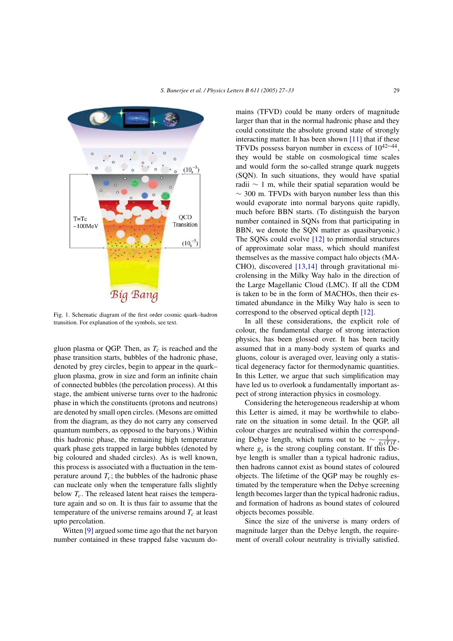

Fig. 1. Schematic diagram of the first order cosmic quark–hadron transition. For explanation of the symbols, see text.

gluon plasma or QGP. Then, as  $T_c$  is reached and the phase transition starts, bubbles of the hadronic phase, denoted by grey circles, begin to appear in the quark– gluon plasma, grow in size and form an infinite chain of connected bubbles (the percolation process). At this stage, the ambient universe turns over to the hadronic phase in which the constituents (protons and neutrons) are denoted by small open circles. (Mesons are omitted from the diagram, as they do not carry any conserved quantum numbers, as opposed to the baryons.) Within this hadronic phase, the remaining high temperature quark phase gets trapped in large bubbles (denoted by big coloured and shaded circles). As is well known, this process is associated with a fluctuation in the temperature around  $T_c$ ; the bubbles of the hadronic phase can nucleate only when the temperature falls slightly below  $T_c$ . The released latent heat raises the temperature again and so on. It is thus fair to assume that the temperature of the universe remains around  $T_c$  at least upto percolation.

Witten [9] argued some time ago that the net baryon number contained in these trapped false vacuum domains (TFVD) could be many orders of magnitude larger than that in the normal hadronic phase and they could constitute the absolute ground state of strongly interacting matter. It has been shown [11] that if these TFVDs possess baryon number in excess of  $10^{42-44}$ , they would be stable on cosmological time scales and would form the so-called strange quark nuggets (SQN). In such situations, they would have spatial radii ∼ 1 m, while their spatial separation would be  $\sim$  300 m. TFVDs with baryon number less than this would evaporate into normal baryons quite rapidly, much before BBN starts. (To distinguish the baryon number contained in SQNs from that participating in BBN, we denote the SQN matter as quasibaryonic.) The SQNs could evolve [12] to primordial structures of approximate solar mass, which should manifest themselves as the massive compact halo objects (MA-CHO), discovered [13,14] through gravitational microlensing in the Milky Way halo in the direction of the Large Magellanic Cloud (LMC). If all the CDM is taken to be in the form of MACHOs, then their estimated abundance in the Milky Way halo is seen to correspond to the observed optical depth [12].

In all these considerations, the explicit role of colour, the fundamental charge of strong interaction physics, has been glossed over. It has been tacitly assumed that in a many-body system of quarks and gluons, colour is averaged over, leaving only a statistical degeneracy factor for thermodynamic quantities. In this Letter, we argue that such simplification may have led us to overlook a fundamentally important aspect of strong interaction physics in cosmology.

Considering the heterogeneous readership at whom this Letter is aimed, it may be worthwhile to elaborate on the situation in some detail. In the QGP, all colour charges are neutralised within the corresponding Debye length, which turns out to be  $\sim \frac{1}{g_s(T)T}$ , where  $g_s$  is the strong coupling constant. If this Debye length is smaller than a typical hadronic radius, then hadrons cannot exist as bound states of coloured objects. The lifetime of the QGP may be roughly estimated by the temperature when the Debye screening length becomes larger than the typical hadronic radius, and formation of hadrons as bound states of coloured objects becomes possible.

Since the size of the universe is many orders of magnitude larger than the Debye length, the requirement of overall colour neutrality is trivially satisfied.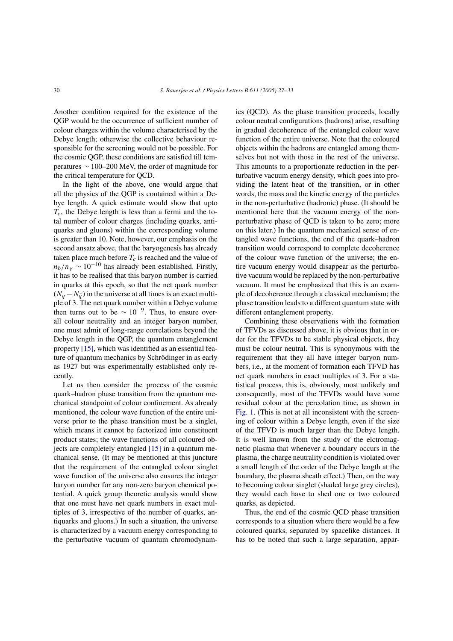Another condition required for the existence of the QGP would be the occurrence of sufficient number of colour charges within the volume characterised by the Debye length; otherwise the collective behaviour responsible for the screening would not be possible. For the cosmic QGP, these conditions are satisfied till temperatures ∼ 100–200 MeV, the order of magnitude for the critical temperature for QCD.

In the light of the above, one would argue that all the physics of the QGP is contained within a Debye length. A quick estimate would show that upto  $T_c$ , the Debye length is less than a fermi and the total number of colour charges (including quarks, antiquarks and gluons) within the corresponding volume is greater than 10. Note, however, our emphasis on the second ansatz above, that the baryogenesis has already taken place much before  $T_c$  is reached and the value of  $n_b/n_\gamma \sim 10^{-10}$  has already been established. Firstly, it has to be realised that this baryon number is carried in quarks at this epoch, so that the net quark number  $(N_a - N_{\overline{a}})$  in the universe at all times is an exact multiple of 3. The net quark number within a Debye volume then turns out to be  $\sim 10^{-9}$ . Thus, to ensure overall colour neutrality and an integer baryon number, one must admit of long-range correlations beyond the Debye length in the QGP, the quantum entanglement property [15], which was identified as an essential feature of quantum mechanics by Schrödinger in as early as 1927 but was experimentally established only recently.

Let us then consider the process of the cosmic quark–hadron phase transition from the quantum mechanical standpoint of colour confinement. As already mentioned, the colour wave function of the entire universe prior to the phase transition must be a singlet, which means it cannot be factorized into constituent product states; the wave functions of all coloured objects are completely entangled [15] in a quantum mechanical sense. (It may be mentioned at this juncture that the requirement of the entangled colour singlet wave function of the universe also ensures the integer baryon number for any non-zero baryon chemical potential. A quick group theoretic analysis would show that one must have net quark numbers in exact multiples of 3, irrespective of the number of quarks, antiquarks and gluons.) In such a situation, the universe is characterized by a vacuum energy corresponding to the perturbative vacuum of quantum chromodynamics (QCD). As the phase transition proceeds, locally colour neutral configurations (hadrons) arise, resulting in gradual decoherence of the entangled colour wave function of the entire universe. Note that the coloured objects within the hadrons are entangled among themselves but not with those in the rest of the universe. This amounts to a proportionate reduction in the perturbative vacuum energy density, which goes into providing the latent heat of the transition, or in other words, the mass and the kinetic energy of the particles in the non-perturbative (hadronic) phase. (It should be mentioned here that the vacuum energy of the nonperturbative phase of QCD is taken to be zero; more on this later.) In the quantum mechanical sense of entangled wave functions, the end of the quark–hadron transition would correspond to complete decoherence of the colour wave function of the universe; the entire vacuum energy would disappear as the perturbative vacuum would be replaced by the non-perturbative vacuum. It must be emphasized that this is an example of decoherence through a classical mechanism; the phase transition leads to a different quantum state with different entanglement property.

Combining these observations with the formation of TFVDs as discussed above, it is obvious that in order for the TFVDs to be stable physical objects, they must be colour neutral. This is synonymous with the requirement that they all have integer baryon numbers, i.e., at the moment of formation each TFVD has net quark numbers in exact multiples of 3. For a statistical process, this is, obviously, most unlikely and consequently, most of the TFVDs would have some residual colour at the percolation time, as shown in Fig. 1. (This is not at all inconsistent with the screening of colour within a Debye length, even if the size of the TFVD is much larger than the Debye length. It is well known from the study of the elctromagnetic plasma that whenever a boundary occurs in the plasma, the charge neutrality condition is violated over a small length of the order of the Debye length at the boundary, the plasma sheath effect.) Then, on the way to becoming colour singlet (shaded large grey circles), they would each have to shed one or two coloured quarks, as depicted.

Thus, the end of the cosmic QCD phase transition corresponds to a situation where there would be a few coloured quarks, separated by spacelike distances. It has to be noted that such a large separation, appar-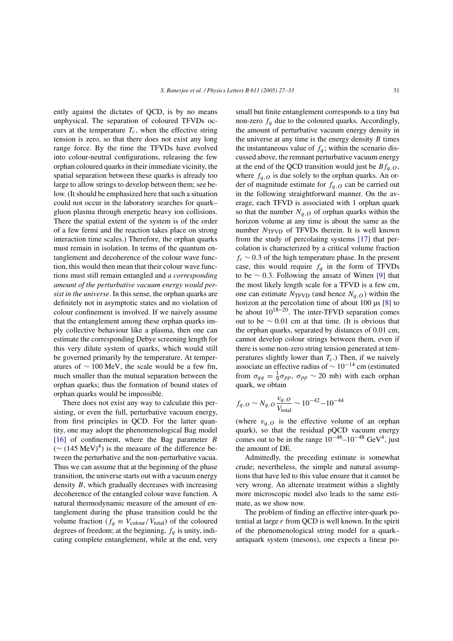ently against the dictates of QCD, is by no means unphysical. The separation of coloured TFVDs occurs at the temperature  $T_c$ , when the effective string tension is zero, so that there does not exist any long range force. By the time the TFVDs have evolved into colour-neutral configurations, releasing the few orphan coloured quarks in their immediate vicinity, the spatial separation between these quarks is already too large to allow strings to develop between them; see below. (It should be emphasized here that such a situation could not occur in the laboratory searches for quark– gluon plasma through energetic heavy ion collisions. There the spatial extent of the system is of the order of a few fermi and the reaction takes place on strong interaction time scales.) Therefore, the orphan quarks must remain in isolation. In terms of the quantum entanglement and decoherence of the colour wave function, this would then mean that their colour wave functions must still remain entangled and *a corresponding amount of the perturbative vacuum energy would persist in the universe*. In this sense, the orphan quarks are definitely not in asymptotic states and no violation of colour confinement is involved. If we naively assume that the entanglement among these orphan quarks imply collective behaviour like a plasma, then one can estimate the corresponding Debye screening length for this very dilute system of quarks, which would still be governed primarily by the temperature. At temperatures of  $∼ 100$  MeV, the scale would be a few fm, much smaller than the mutual separation between the orphan quarks; thus the formation of bound states of orphan quarks would be impossible.

There does not exist any way to calculate this persisting, or even the full, perturbative vacuum energy, from first principles in QCD. For the latter quantity, one may adopt the phenomenological Bag model [16] of confinement, where the Bag parameter B  $(\sim (145 \text{ MeV})^4)$  is the measure of the difference between the perturbative and the non-perturbative vacua. Thus we can assume that at the beginning of the phase transition, the universe starts out with a vacuum energy density B, which gradually decreases with increasing decoherence of the entangled colour wave function. A natural thermodynamic measure of the amount of entanglement during the phase transition could be the volume fraction ( $f_q \equiv V_{\text{colour}}/V_{\text{total}}$ ) of the coloured degrees of freedom; at the beginning,  $f_q$  is unity, indicating complete entanglement, while at the end, very small but finite entanglement corresponds to a tiny but non-zero  $f_q$  due to the coloured quarks. Accordingly, the amount of perturbative vacuum energy density in the universe at any time is the energy density  $B$  times the instantaneous value of  $f_q$ ; within the scenario discussed above, the remnant perturbative vacuum energy at the end of the QCD transition would just be  $Bf_{q,0}$ , where  $f_{q,0}$  is due solely to the orphan quarks. An order of magnitude estimate for  $f_{q,O}$  can be carried out in the following straightforward manner. On the average, each TFVD is associated with 1 orphan quark so that the number  $N_{a,O}$  of orphan quarks within the horizon volume at any time is about the same as the number  $N_{\text{TFVD}}$  of TFVDs therein. It is well known from the study of percolating systems [17] that percolation is characterized by a critical volume fraction  $f_c \sim 0.3$  of the high temperature phase. In the present case, this would require  $f_q$  in the form of TFVDs to be  $\sim$  0.3. Following the ansatz of Witten [9] that the most likely length scale for a TFVD is a few cm, one can estimate  $N_{\text{TFVD}}$  (and hence  $N_{q,0}$ ) within the horizon at the percolation time of about 100  $\mu s$  [8] to be about  $10^{18-20}$ . The inter-TFVD separation comes out to be  $\sim 0.01$  cm at that time. (It is obvious that the orphan quarks, separated by distances of 0.01 cm, cannot develop colour strings between them, even if there is some non-zero string tension generated at temperatures slightly lower than  $T_c$ .) Then, if we naively associate an effective radius of  $\sim 10^{-14}$  cm (estimated from  $\sigma_{qq} = \frac{1}{9}\sigma_{pp}$ ,  $\sigma_{pp} \sim 20$  mb) with each orphan quark, we obtain

$$
f_{q,O} \sim N_{q,O} \frac{v_{q,O}}{V_{\text{total}}} \sim 10^{-42} - 10^{-44}
$$

(where  $v_{q,Q}$  is the effective volume of an orphan quark), so that the residual pQCD vacuum energy comes out to be in the range  $10^{-46}$ – $10^{-48}$  GeV<sup>4</sup>, just the amount of DE.

Admittedly, the preceding estimate is somewhat crude; nevertheless, the simple and natural assumptions that have led to this value ensure that it cannot be very wrong. An alternate treatment within a slightly more microscopic model also leads to the same estimate, as we show now.

The problem of finding an effective inter-quark potential at large  $r$  from QCD is well known. In the spirit of the phenomenological string model for a quark– antiquark system (mesons), one expects a linear po-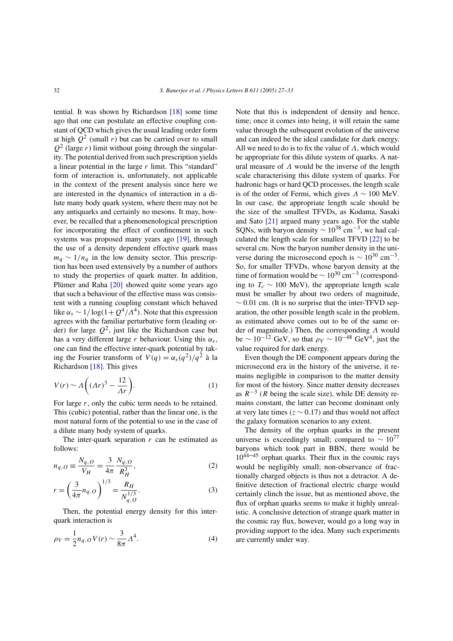tential. It was shown by Richardson [18] some time ago that one can postulate an effective coupling constant of QCD which gives the usual leading order form at high  $Q^2$  (small r) but can be carried over to small  $Q^2$  (large r) limit without going through the singularity. The potential derived from such prescription yields a linear potential in the large  $r$  limit. This "standard" form of interaction is, unfortunately, not applicable in the context of the present analysis since here we are interested in the dynamics of interaction in a dilute many body quark system, where there may not be any antiquarks and certainly no mesons. It may, however, be recalled that a phenomenological prescription for incorporating the effect of confinement in such systems was proposed many years ago [19], through the use of a density dependent effective quark mass  $m_a \sim 1/n_a$  in the low density sector. This prescription has been used extensively by a number of authors to study the properties of quark matter. In addition, Plümer and Raha [20] showed quite some years ago that such a behaviour of the effective mass was consistent with a running coupling constant which behaved like  $\alpha_s \sim 1/\log(1+Q^4/A^4)$ . Note that this expression agrees with the familiar perturbative form (leading order) for large  $Q^2$ , just like the Richardson case but has a very different large r behaviour. Using this  $\alpha_s$ , one can find the effective inter-quark potential by taking the Fourier transform of  $V(q) = \alpha_s(q^2)/q^2$  à la Richardson [18]. This gives

$$
V(r) \sim A\bigg((Ar)^3 - \frac{12}{Ar}\bigg). \tag{1}
$$

For large  $r$ , only the cubic term needs to be retained. This (cubic) potential, rather than the linear one, is the most natural form of the potential to use in the case of a dilute many body system of quarks.

The inter-quark separation  $r$  can be estimated as follows:

$$
n_{q,O} \equiv \frac{N_{q,O}}{V_H} = \frac{3}{4\pi} \frac{N_{q,O}}{R_H^3},\tag{2}
$$

$$
r = \left(\frac{3}{4\pi}n_{q,O}\right)^{1/3} = \frac{R_H}{N_{q,O}^{1/3}}.
$$
 (3)

Then, the potential energy density for this interquark interaction is

$$
\rho_V = \frac{1}{2} n_{q,O} V(r) \sim \frac{3}{8\pi} \Lambda^4.
$$
 (4)

Note that this is independent of density and hence, time; once it comes into being, it will retain the same value through the subsequent evolution of the universe and can indeed be the ideal candidate for dark energy. All we need to do is to fix the value of  $\Lambda$ , which would be appropriate for this dilute system of quarks. A natural measure of  $\Lambda$  would be the inverse of the length scale characterising this dilute system of quarks. For hadronic bags or hard QCD processes, the length scale is of the order of Fermi, which gives  $\Lambda \sim 100$  MeV. In our case, the appropriate length scale should be the size of the smallest TFVDs, as Kodama, Sasaki and Sato [21] argued many years ago. For the stable SQNs, with baryon density  $\sim 10^{38}$  cm<sup>-3</sup>, we had calculated the length scale for smallest TFVD [22] to be several cm. Now the baryon number density in the universe during the microsecond epoch is  $\sim 10^{30}$  cm<sup>-3</sup>. So, for smaller TFVDs, whose baryon density at the time of formation would be  $\sim 10^{30}$  cm<sup>-3</sup> (corresponding to  $T_c \sim 100$  MeV), the appropriate length scale must be smaller by about two orders of magnitude,  $\sim$  0.01 cm. (It is no surprise that the inter-TFVD separation, the other possible length scale in the problem, as estimated above comes out to be of the same order of magnitude.) Then, the corresponding Λ would be  $\sim 10^{-12}$  GeV, so that  $\rho_V \sim 10^{-48}$  GeV<sup>4</sup>, just the value required for dark energy.

Even though the DE component appears during the microsecond era in the history of the universe, it remains negligible in comparison to the matter density for most of the history. Since matter density decreases as  $R^{-3}$  (R being the scale size), while DE density remains constant, the latter can become dominant only at very late times ( $z \sim 0.17$ ) and thus would not affect the galaxy formation scenarios to any extent.

The density of the orphan quarks in the present universe is exceedingly small; compared to  $\sim 10^{77}$ baryons which took part in BBN, there would be  $10^{44-45}$  orphan quarks. Their flux in the cosmic rays would be negligibly small; non-observance of fractionally charged objects is thus not a detractor. A definitive detection of fractional electric charge would certainly clinch the issue, but as mentioned above, the flux of orphan quarks seems to make it highly unrealistic. A conclusive detection of strange quark matter in the cosmic ray flux, however, would go a long way in providing support to the idea. Many such experiments are currently under way.